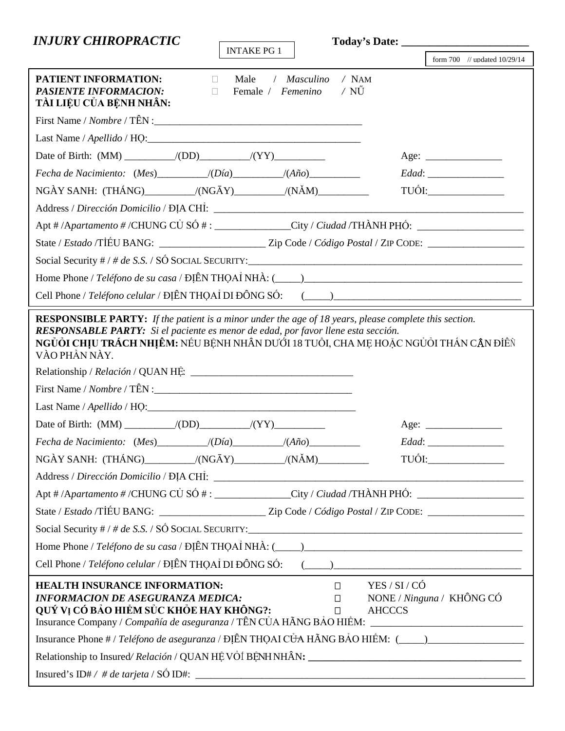| <b>INJURY CHIROPRACTIC</b>                                                                                                                                                                                                                                                                          |                                  |
|-----------------------------------------------------------------------------------------------------------------------------------------------------------------------------------------------------------------------------------------------------------------------------------------------------|----------------------------------|
| <b>INTAKE PG 1</b>                                                                                                                                                                                                                                                                                  | form $700$ // updated $10/29/14$ |
| PATIENT INFORMATION:<br>$/$ NAM<br>Male<br>/ Masculino<br>$\mathbb{R}^n$<br><b>PASIENTE INFORMACION:</b><br>/ NŰ<br>Female / Femenino<br>$\Box$<br>TÀI LIỆU CỦA BỆNH NHÂN:                                                                                                                          |                                  |
|                                                                                                                                                                                                                                                                                                     |                                  |
|                                                                                                                                                                                                                                                                                                     |                                  |
|                                                                                                                                                                                                                                                                                                     | Age:                             |
| Fecha de Nacimiento: (Mes) __________/(Día) _________/(Año) _____________________                                                                                                                                                                                                                   |                                  |
| $NGAY$ SANH: $(THÁNG)$ $/(NG\bar{A}Y)$ $/(N\tilde{A}M)$                                                                                                                                                                                                                                             | $\frac{1}{\text{TDOL}}$          |
|                                                                                                                                                                                                                                                                                                     |                                  |
| Apt # /Apartamento # /CHUNG CŮ SỐ # : ______________City / Ciudad /THÀNH PHỐ: ______________________                                                                                                                                                                                                |                                  |
|                                                                                                                                                                                                                                                                                                     |                                  |
|                                                                                                                                                                                                                                                                                                     |                                  |
|                                                                                                                                                                                                                                                                                                     |                                  |
|                                                                                                                                                                                                                                                                                                     |                                  |
| NGỦỎI CHỊU TRÁCH NHỊÊM: NẾU BỆNH NHÂN DƯỚI 18 TUỔI, CHA ME HOẶC NGỦỎI THẤN CÂN ĐIỀN<br>VÀO PHẦN NÀY.                                                                                                                                                                                                |                                  |
|                                                                                                                                                                                                                                                                                                     | Age:                             |
| Fecha de Nacimiento: (Mes) __________/(Día) _________/(Año) _____________________                                                                                                                                                                                                                   |                                  |
| NGÀY SANH: $(THÁNG)$ $/(NG\bar{A}Y)$ $/(N\tilde{A}M)$ $)(N\tilde{A}M)$                                                                                                                                                                                                                              |                                  |
|                                                                                                                                                                                                                                                                                                     |                                  |
| Apt # /Apartamento # /CHUNG CỦ SỐ # : ______________City / Ciudad /THÀNH PHỐ: ______________________                                                                                                                                                                                                |                                  |
| State / Estado /TIÊU BANG: _________________________Zip Code / Código Postal / ZIP CODE: ____________________                                                                                                                                                                                       |                                  |
|                                                                                                                                                                                                                                                                                                     |                                  |
| Home Phone / Teléfono de su casa / ĐỊỀN THỌAỈ NHÀ: $(\_\_\_\_)$                                                                                                                                                                                                                                     |                                  |
|                                                                                                                                                                                                                                                                                                     |                                  |
| <b>HEALTH INSURANCE INFORMATION:</b><br>YES / SI / CÓ<br>$\Box$<br><b>INFORMACION DE ASEGURANZA MEDICA:</b><br>$\Box$<br>QUÝ VỊ CÓ BẢO HIỂM SỬC KHỎE HAY KHÔNG?:<br><b>AHCCCS</b><br>$\Box$<br>Insurance Company / Compañía de aseguranza / TÊN CỦA HÃNG BẢO HIỀM: ________________________________ | NONE / Ninguna / KHÔNG CÓ        |
| Insurance Phone # / Teléfono de aseguranza / ĐỊỀN THỌAI CỦA HÃNG BẢO HIỀM: (____)___________________                                                                                                                                                                                                |                                  |
|                                                                                                                                                                                                                                                                                                     |                                  |
|                                                                                                                                                                                                                                                                                                     |                                  |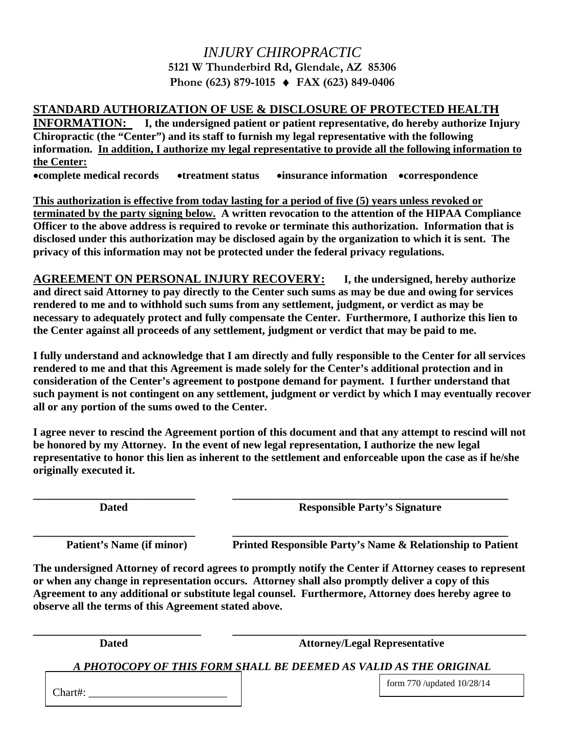## *INJURY CHIROPRACTIC*  **5121 W Thunderbird Rd, Glendale, AZ 85306 Phone (623) 879-1015 FAX (623) 849-0406**

## **STANDARD AUTHORIZATION OF USE & DISCLOSURE OF PROTECTED HEALTH**

**INFORMATION: I, the undersigned patient or patient representative, do hereby authorize Injury Chiropractic (the "Center") and its staff to furnish my legal representative with the following information. In addition, I authorize my legal representative to provide all the following information to the Center: complete medical records treatment status insurance information correspondence** 

**This authorization is effective from today lasting for a period of five (5) years unless revoked or terminated by the party signing below. A written revocation to the attention of the HIPAA Compliance Officer to the above address is required to revoke or terminate this authorization. Information that is disclosed under this authorization may be disclosed again by the organization to which it is sent. The privacy of this information may not be protected under the federal privacy regulations.** 

**AGREEMENT ON PERSONAL INJURY RECOVERY: I, the undersigned, hereby authorize and direct said Attorney to pay directly to the Center such sums as may be due and owing for services rendered to me and to withhold such sums from any settlement, judgment, or verdict as may be necessary to adequately protect and fully compensate the Center. Furthermore, I authorize this lien to the Center against all proceeds of any settlement, judgment or verdict that may be paid to me.** 

**I fully understand and acknowledge that I am directly and fully responsible to the Center for all services rendered to me and that this Agreement is made solely for the Center's additional protection and in consideration of the Center's agreement to postpone demand for payment. I further understand that such payment is not contingent on any settlement, judgment or verdict by which I may eventually recover all or any portion of the sums owed to the Center.** 

**I agree never to rescind the Agreement portion of this document and that any attempt to rescind will not be honored by my Attorney. In the event of new legal representation, I authorize the new legal representative to honor this lien as inherent to the settlement and enforceable upon the case as if he/she originally executed it.** 

**\_\_\_\_\_\_\_\_\_\_\_\_\_\_\_\_\_\_\_\_\_\_\_\_\_\_\_ \_\_\_\_\_\_\_\_\_\_\_\_\_\_\_\_\_\_\_\_\_\_\_\_\_\_\_\_\_\_\_\_\_\_\_\_\_\_\_\_\_\_\_\_\_\_ Dated Responsible Party's Signature** 

Patient's Name (if minor) Printed Responsible Party's Name & Relationship to Patient

**The undersigned Attorney of record agrees to promptly notify the Center if Attorney ceases to represent or when any change in representation occurs. Attorney shall also promptly deliver a copy of this Agreement to any additional or substitute legal counsel. Furthermore, Attorney does hereby agree to observe all the terms of this Agreement stated above.** 

**\_\_\_\_\_\_\_\_\_\_\_\_\_\_\_\_\_\_\_\_\_\_\_\_\_\_\_ \_\_\_\_\_\_\_\_\_\_\_\_\_\_\_\_\_\_\_\_\_\_\_\_\_\_\_\_\_\_\_\_\_\_\_\_\_\_\_\_\_\_\_\_\_\_** 

 **Dated Attorney/Legal Representative** 

*A PHOTOCOPY OF THIS FORM SHALL BE DEEMED AS VALID AS THE ORIGINAL* 

**\_\_\_\_\_\_\_\_\_\_\_\_\_\_\_\_\_\_\_\_\_\_\_\_\_\_\_\_ \_\_\_\_\_\_\_\_\_\_\_\_\_\_\_\_\_\_\_\_\_\_\_\_\_\_\_\_\_\_\_\_\_\_\_\_\_\_\_\_\_\_\_\_\_\_\_\_\_** 

Chart#:  $\_\_$ 

form 770 /updated 10/28/14